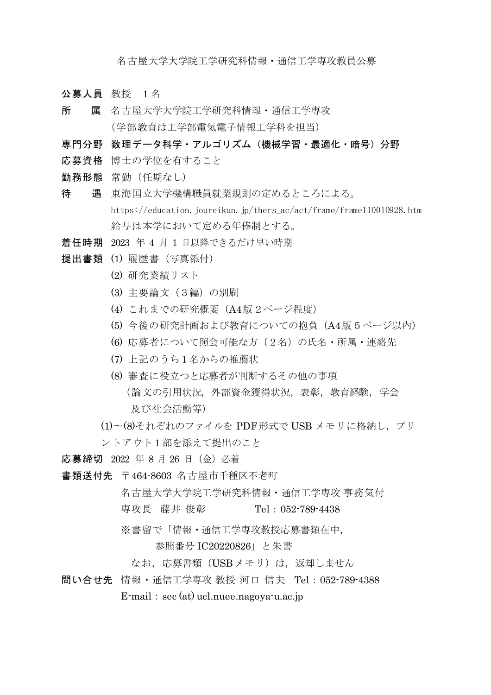名古屋大学大学院工学研究科情報・通信工学専攻教員公募

- 公募人員 教授 1名
- 所 属 名古屋大学大学院工学研究科情報·通信工学専攻 (学部教育は工学部電気電子情報工学科を担当)
- 専門分野 数理データ科学・アルゴリズム(機械学習・最適化・暗号)分野
- 応募資格 博士の学位を有すること
- 勤務形態 常勤(任期なし)
- 待 遇 東海国立大学機構職員就業規則の定めるところによる。 https://education.joureikun.jp/thers\_ac/act/frame/frame110010928.htm 給与は本学において定める年俸制とする。
- 着任時期 2023 年 4 月 1 日以降できるだけ早い時期
- 提出書類 (1) 履歴書 (写真添付)
	- (2) 研究業績リスト
	- (3) 主要論文(3編)の別刷
	- (4) これまでの研究概要(A4版2ページ程度)
	- (5) 今後の研究計画および教育についての抱負(A4版5ページ以内)
	- (6) 応募者について照会可能な方(2名)の氏名・所属・連絡先
	- (7) 上記のうち1名からの推薦状
	- (8) 審査に役立つと応募者が判断するその他の事項 (論文の引用状況,外部資金獲得状況,表彰,教育経験,学会 及び社会活動等)
	- (1)〜(8)それぞれのファイルを PDF形式で USB メモリに格納し,プリ ントアウト1部を添えて提出のこと

応募締切 2022 年 8 月 26 日(金)必着

- 書類送付先 〒464-8603 名古屋市千種区不老町
	- 名古屋大学大学院工学研究科情報・通信工学専攻 事務気付
	- 専攻長 藤井 俊彰 Tel:052-789-4438
	- ※書留で「情報・通信工学専攻教授応募書類在中,

## 参照番号 IC20220826」と朱書

- なお、応募書類 (USBメモリ)は、返却しません
- 問い合せ先 情報・通信工学専攻 教授 河口 信夫 Tel:052-789-4388  $E$ -mail: sec (at) ucl.nuee.nagoya-u.ac.jp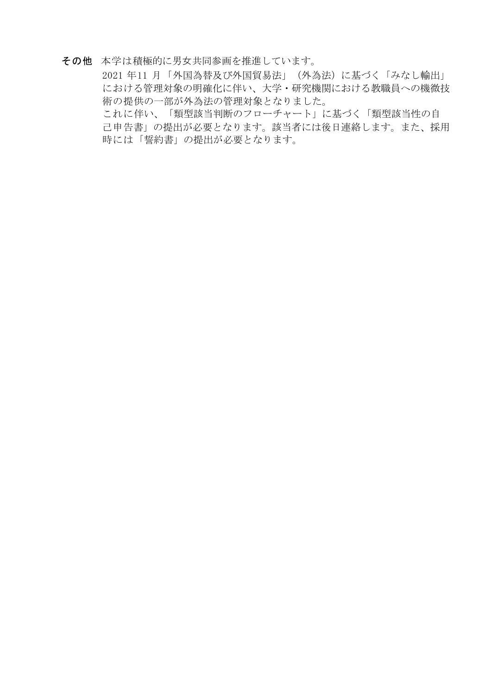## その他 本学は積極的に男女共同参画を推進しています。

 2021 年11 月「外国為替及び外国貿易法」(外為法)に基づく「みなし輸出」 における管理対象の明確化に伴い、大学・研究機関における教職員への機微技 術の提供の一部が外為法の管理対象となりました。

これに伴い、「類型該当判断のフローチャート」に基づく「類型該当性の自 己申告書」の提出が必要となります。該当者には後日連絡します。また、採用 時には「誓約書」の提出が必要となります。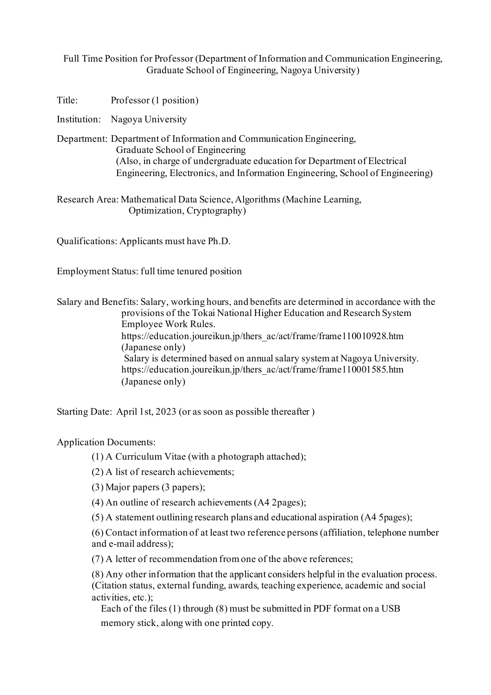Full Time Position for Professor (Department of Information and Communication Engineering, Graduate School of Engineering, Nagoya University)

Title: Professor (1 position)

Institution: Nagoya University

Department: Department of Information and Communication Engineering, Graduate School of Engineering (Also, in charge of undergraduate education for Department of Electrical Engineering, Electronics, and Information Engineering, School of Engineering)

Research Area: Mathematical Data Science, Algorithms (Machine Learning, Optimization, Cryptography)

Qualifications: Applicants must have Ph.D.

Employment Status: full time tenured position

Salary and Benefits: Salary, working hours, and benefits are determined in accordance with the provisions of the Tokai National Higher Education and Research System Employee Work Rules. https://education.joureikun.jp/thers\_ac/act/frame/frame110010928.htm (Japanese only) Salary is determined based on annual salary system at Nagoya University. https://education.joureikun.jp/thers\_ac/act/frame/frame110001585.htm (Japanese only)

Starting Date: April 1st, 2023 (or as soon as possible thereafter )

Application Documents:

(1) A Curriculum Vitae (with a photograph attached);

(2) A list of research achievements;

(3) Major papers (3 papers);

(4) An outline of research achievements (A4 2pages);

(5) A statement outlining research plans and educational aspiration (A4 5pages);

(6) Contact information of at least two reference persons (affiliation, telephone number and e-mail address);

(7) A letter of recommendation from one of the above references;

(8) Any other information that the applicant considers helpful in the evaluation process. (Citation status, external funding, awards, teaching experience, academic and social activities, etc.);

Each of the files (1) through (8) must be submitted in PDF format on a USB

memory stick, along with one printed copy.